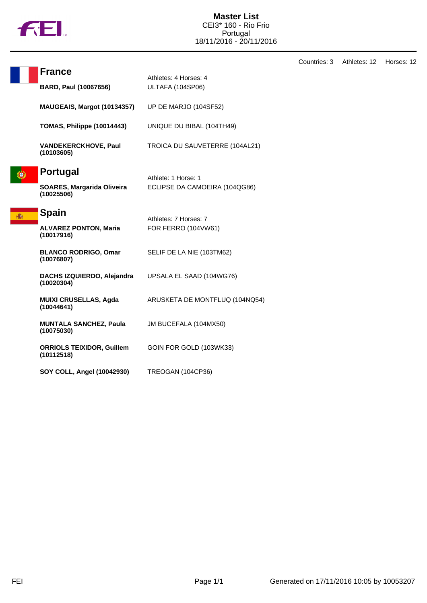

| <b>France</b>                                   | Athletes: 4 Horses: 4          |  |
|-------------------------------------------------|--------------------------------|--|
| <b>BARD, Paul (10067656)</b>                    | ULTAFA (104SP06)               |  |
| MAUGEAIS, Margot (10134357)                     | UP DE MARJO (104SF52)          |  |
| TOMAS, Philippe (10014443)                      | UNIQUE DU BIBAL (104TH49)      |  |
| <b>VANDEKERCKHOVE, Paul</b><br>(10103605)       | TROICA DU SAUVETERRE (104AL21) |  |
| <b>Portugal</b>                                 | Athlete: 1 Horse: 1            |  |
| <b>SOARES, Margarida Oliveira</b><br>(10025506) | ECLIPSE DA CAMOEIRA (104QG86)  |  |
| <b>Spain</b>                                    | Athletes: 7 Horses: 7          |  |
| <b>ALVAREZ PONTON, Maria</b><br>(10017916)      | FOR FERRO (104VW61)            |  |
| <b>BLANCO RODRIGO, Omar</b><br>(10076807)       | SELIF DE LA NIE (103TM62)      |  |
| DACHS IZQUIERDO, Alejandra<br>(10020304)        | UPSALA EL SAAD (104WG76)       |  |
| <b>MUIXI CRUSELLAS, Agda</b><br>(10044641)      | ARUSKETA DE MONTFLUQ (104NQ54) |  |
| <b>MUNTALA SANCHEZ, Paula</b><br>(10075030)     | JM BUCEFALA (104MX50)          |  |
| <b>ORRIOLS TEIXIDOR, Guillem</b><br>(10112518)  | GOIN FOR GOLD (103WK33)        |  |
| SOY COLL, Angel (10042930)                      | <b>TREOGAN (104CP36)</b>       |  |

Countries: 3 Athletes: 12 Horses: 12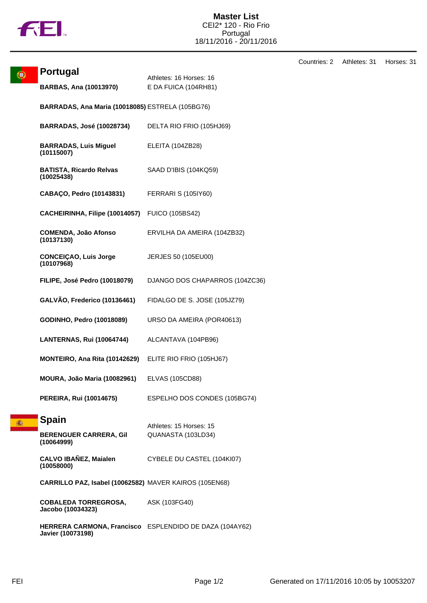

۳

| <b>Portugal</b>                                         | Athletes: 16 Horses: 16<br>E DA FUICA (104RH81) |  |
|---------------------------------------------------------|-------------------------------------------------|--|
| <b>BARBAS, Ana (10013970)</b>                           |                                                 |  |
| BARRADAS, Ana Maria (10018085) ESTRELA (105BG76)        |                                                 |  |
| <b>BARRADAS, José (10028734)</b>                        | DELTA RIO FRIO (105HJ69)                        |  |
| <b>BARRADAS, Luis Miguel</b><br>(10115007)              | ELEITA (104ZB28)                                |  |
| <b>BATISTA, Ricardo Relvas</b><br>(10025438)            | SAAD D'IBIS (104KQ59)                           |  |
| CABAÇO, Pedro (10143831)                                | <b>FERRARI S (105IY60)</b>                      |  |
| CACHEIRINHA, Filipe (10014057)                          | <b>FUICO (105BS42)</b>                          |  |
| <b>COMENDA, João Afonso</b><br>(10137130)               | ERVILHA DA AMEIRA (104ZB32)                     |  |
| <b>CONCEIÇAO, Luis Jorge</b><br>(10107968)              | JERJES 50 (105EU00)                             |  |
| FILIPE, José Pedro (10018079)                           | DJANGO DOS CHAPARROS (104ZC36)                  |  |
| GALVÃO, Frederico (10136461)                            | FIDALGO DE S. JOSE (105JZ79)                    |  |
| GODINHO, Pedro (10018089)                               | URSO DA AMEIRA (POR40613)                       |  |
| <b>LANTERNAS, Rui (10064744)</b>                        | ALCANTAVA (104PB96)                             |  |
| MONTEIRO, Ana Rita (10142629)                           | ELITE RIO FRIO (105HJ67)                        |  |
| MOURA, João Maria (10082961)                            | <b>ELVAS (105CD88)</b>                          |  |
| <b>PEREIRA, Rui (10014675)</b>                          | ESPELHO DOS CONDES (105BG74)                    |  |
| <b>Spain</b>                                            | Athletes: 15 Horses: 15                         |  |
| <b>BERENGUER CARRERA, Gil</b><br>(10064999)             | QUANASTA (103LD34)                              |  |
| <b>CALVO IBAÑEZ, Maialen</b><br>(10058000)              | CYBELE DU CASTEL (104KI07)                      |  |
| CARRILLO PAZ, Isabel (10062582) MAVER KAIROS (105EN68)  |                                                 |  |
| <b>COBALEDA TORREGROSA,</b><br>Jacobo (10034323)        | ASK (103FG40)                                   |  |
| HERRERA CARMONA, Francisco ESPLENDIDO DE DAZA (104AY62) |                                                 |  |

**Javier (10073198)**

Countries: 2 Athletes: 31 Horses: 31

竈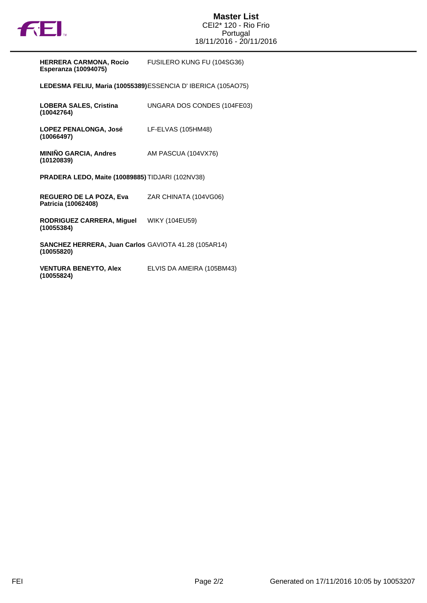

| <b>HERRERA CARMONA, Rocio</b> | FUSILERO KUNG FU (104SG36) |
|-------------------------------|----------------------------|
| Esperanza (10094075)          |                            |

**LEDESMA FELIU, Maria (10055389)**ESSENCIA D' IBERICA (105AO75)

| <b>LOBERA SALES, Cristina</b><br>(10042764)                               | UNGARA DOS CONDES (104FE03) |
|---------------------------------------------------------------------------|-----------------------------|
| <b>LOPEZ PENALONGA, José</b><br>(10066497)                                | LF-ELVAS (105HM48)          |
| <b>MINIÑO GARCIA, Andres</b><br>(10120839)                                | AM PASCUA (104VX76)         |
| <b>PRADERA LEDO, Maite (10089885)</b> TIDJARI (102NV38)                   |                             |
| <b>REGUERO DE LA POZA, Eva</b><br>Patricia (10062408)                     | ZAR CHINATA (104VG06)       |
| RODRIGUEZ CARRERA, Miguel<br>(10055384)                                   | WIKY (104EU59)              |
| <b>SANCHEZ HERRERA, Juan Carlos GAVIOTA 41.28 (105AR14)</b><br>(10055820) |                             |

**VENTURA BENEYTO, Alex (10055824)** ELVIS DA AMEIRA (105BM43)